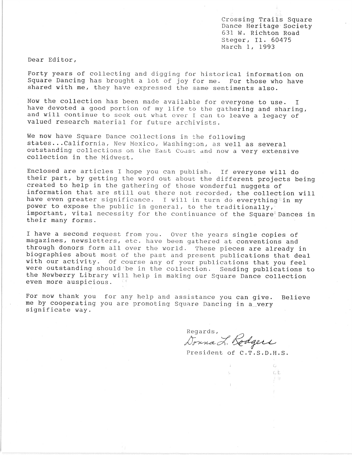Crossing Trails Square Dance Heritage Society 631 W. Richton Road Steger, II. 60475 March 1, 1993

Dear Editor,

Forty years of collecting and digging for historical information on Square Dancing has brought a lot of joy for me. For those who have shared with me, they have expressed the same sentiments also.

Now the collection has been made available for everyone to use. I have devoted a good portion of my life to the gathering and sharing, and will continue to seek out what ever I can to leave a legacy of valued research material for future archivists.

We now have Square Dance collections in the following states... California, New Mexico, Washington, as well as several outstanding collections on the East Coast and now a very extensive collection in the Midwest.

Enclosed are articles I hope you can publish. If everyone will do their part, by getting the word out about the different projects being created to help in the gathering of those wonderful nuggets of information that are still out there not recorded; the collection will have even greater significance. I will in turn do everything power to expose the public in general, to the traditionally,' important, vital necessity for the continuance of the Square<sup> $t$ </sup> Dances in their many forms. .

I have a second request from you. Over the years single copies of magazines, newsletters, etc. have been gathered at conventions and through donors form all over the world. These pieces are already in biographies about most of the past and present publications that deal with our activity. Of course any of your publications that you feel were outstanding should be in the collection. Sending publications to the Newberry Library will help in making our Square Dance collection even more auspicious.

For now thank you for any help and assistance you can give. Believe me by cooperating you are promoting Square Dancing in a\_very significate way.

Regards,<br>Donna L. Rodgers

President of C.T.S.D.H.S.

 $\xi^{\rm f}_{\rm eff}$  . ct

 $\frac{1}{2}$  .  $\frac{10}{10}$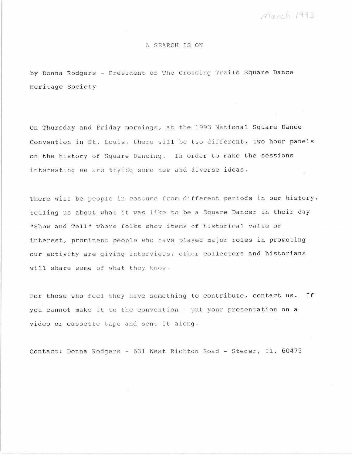March 1993

## A SEARCH IS ON

by Donna Rodgers - President of The Crossing Trails Square Dance Heritage Society

On Thursday and Friday mornings, at the 1993 National Square Dance Convention in St. Louis, there will be two different, two hour panels on the history of Square Dancing. In order to make the sessions interesting we are trying some new and diverse ideas.

There will be people in costume from different periods in our history, telling us about what it was like to be a Square Dancer in their day "Show and Tell" where folks show items of historical value or interest, prominent people who have played major roles in promoting our activity are giving interviews, other collectors and historians will share some of what they know.

For those who feel they have something to contribute, contact **us.** If you cannot make it to the convention - put your presentation on a video or cassette tape and sent it along.

Contact: Donna Rodgers - 631 West Richton Road - Steger, II. 60475